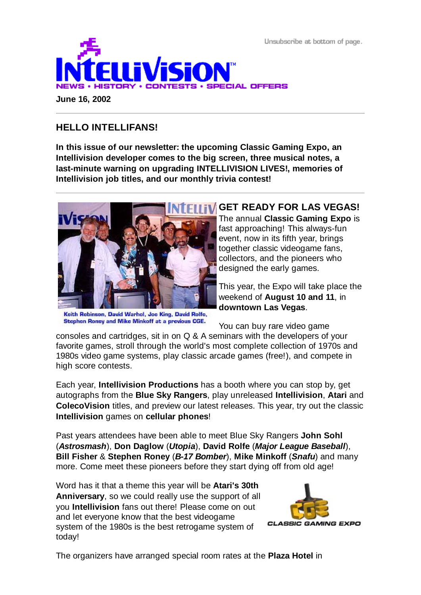Unsubscribe at bottom of page.



**June 16, 2002**

## **HELLO INTELLIFANS!**

**In this issue of our newsletter: the upcoming Classic Gaming Expo, an Intellivision developer comes to the big screen, three musical notes, a last-minute warning on upgrading INTELLIVISION LIVES!, memories of Intellivision job titles, and our monthly trivia contest!**



Keith Robinson, David Warhol, Joe King, David Rolfe, Stephen Roney and Mike Minkoff at a previous CGE.

# **GET READY FOR LAS VEGAS!**

The annual **Classic Gaming Expo** is fast approaching! This always-fun event, now in its fifth year, brings together classic videogame fans, collectors, and the pioneers who designed the early games.

This year, the Expo will take place the weekend of **August 10 and 11**, in **downtown Las Vegas**.

You can buy rare video game

consoles and cartridges, sit in on Q & A seminars with the developers of your favorite games, stroll through the world's most complete collection of 1970s and 1980s video game systems, play classic arcade games (free!), and compete in high score contests.

Each year, **Intellivision Productions** has a booth where you can stop by, get autographs from the **Blue Sky Rangers**, play unreleased **Intellivision**, **Atari** and **ColecoVision** titles, and preview our latest releases. This year, try out the classic **Intellivision** games on **cellular phones**!

Past years attendees have been able to meet Blue Sky Rangers **John Sohl** (*Astrosmash*), **Don Daglow** (*Utopia*), **David Rolfe** (*Major League Baseball*), **Bill Fisher** & **Stephen Roney** (*B-17 Bomber*), **Mike Minkoff** (*Snafu*) and many more. Come meet these pioneers before they start dying off from old age!

Word has it that a theme this year will be **Atari's 30th Anniversary**, so we could really use the support of all you **Intellivision** fans out there! Please come on out and let everyone know that the best videogame system of the 1980s is the best retrogame system of today!



The organizers have arranged special room rates at the **Plaza Hotel** in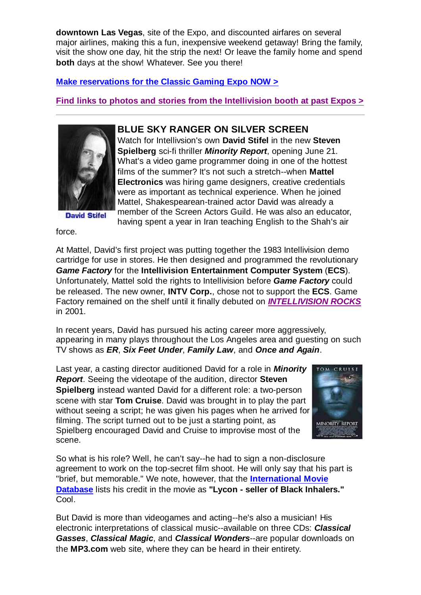**downtown Las Vegas**, site of the Expo, and discounted airfares on several major airlines, making this a fun, inexpensive weekend getaway! Bring the family, visit the show one day, hit the strip the next! Or leave the family home and spend **both** days at the show! Whatever. See you there!

**Make reservations for the Classic Gaming Expo NOW >**

**Find links to photos and stories from the Intellivision booth at past Expos >**



**David Stifel** 

**BLUE SKY RANGER ON SILVER SCREEN**

Watch for Intellivsion's own **David Stifel** in the new **Steven Spielberg** sci-fi thriller *Minority Report*, opening June 21. What's a video game programmer doing in one of the hottest films of the summer? It's not such a stretch--when **Mattel Electronics** was hiring game designers, creative credentials were as important as technical experience. When he joined Mattel, Shakespearean-trained actor David was already a member of the Screen Actors Guild. He was also an educator, having spent a year in Iran teaching English to the Shah's air

force.

At Mattel, David's first project was putting together the 1983 Intellivision demo cartridge for use in stores. He then designed and programmed the revolutionary *Game Factory* for the **Intellivision Entertainment Computer System** (**ECS**). Unfortunately, Mattel sold the rights to Intellivision before *Game Factory* could be released. The new owner, **INTV Corp.**, chose not to support the **ECS**. Game Factory remained on the shelf until it finally debuted on *INTELLIVISION ROCKS* in 2001.

In recent years, David has pursued his acting career more aggressively, appearing in many plays throughout the Los Angeles area and guesting on such TV shows as *ER*, *Six Feet Under*, *Family Law*, and *Once and Again*.

Last year, a casting director auditioned David for a role in *Minority Report*. Seeing the videotape of the audition, director **Steven Spielberg** instead wanted David for a different role: a two-person scene with star **Tom Cruise**. David was brought in to play the part without seeing a script; he was given his pages when he arrived for filming. The script turned out to be just a starting point, as Spielberg encouraged David and Cruise to improvise most of the scene.



So what is his role? Well, he can't say--he had to sign a non-disclosure agreement to work on the top-secret film shoot. He will only say that his part is "brief, but memorable." We note, however, that the **International Movie Database** lists his credit in the movie as **"Lycon - seller of Black Inhalers."** Cool.

But David is more than videogames and acting--he's also a musician! His electronic interpretations of classical music--available on three CDs: *Classical Gasses*, *Classical Magic*, and *Classical Wonders*--are popular downloads on the **MP3.com** web site, where they can be heard in their entirety.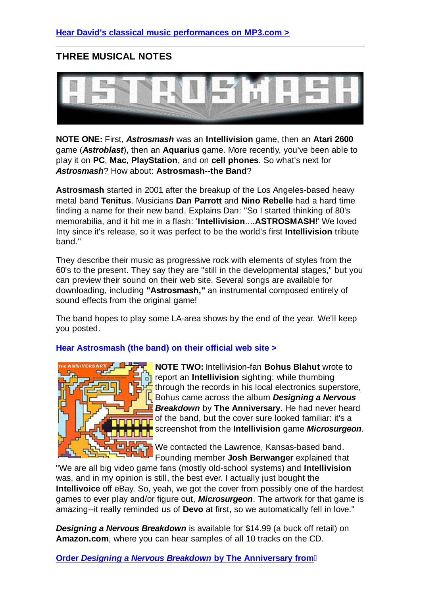### **THREE MUSICAL NOTES**



**NOTE ONE:** First, *Astrosmash* was an **Intellivision** game, then an **Atari 2600** game (*Astroblast*), then an **Aquarius** game. More recently, you've been able to play it on **PC**, **Mac**, **PlayStation**, and on **cell phones**. So what's next for *Astrosmash*? How about: **Astrosmash--the Band**?

**Astrosmash** started in 2001 after the breakup of the Los Angeles-based heavy metal band **Tenitus**. Musicians **Dan Parrott** and **Nino Rebelle** had a hard time finding a name for their new band. Explains Dan: "So I started thinking of 80's memorabilia, and it hit me in a flash: '**Intellivision**....**ASTROSMASH!**' We loved Inty since it's release, so it was perfect to be the world's first **Intellivision** tribute band."

They describe their music as progressive rock with elements of styles from the 60's to the present. They say they are "still in the developmental stages," but you can preview their sound on their web site. Several songs are available for downloading, including **"Astrosmash,"** an instrumental composed entirely of sound effects from the original game!

The band hopes to play some LA-area shows by the end of the year. We'll keep you posted.

**Hear Astrosmash (the band) on their official web site >**



**NOTE TWO:** Intellivision-fan **Bohus Blahut** wrote to report an **Intellivision** sighting: while thumbing through the records in his local electronics superstore, Bohus came across the album *Designing a Nervous Breakdown* by **The Anniversary**. He had never heard of the band, but the cover sure looked familiar: it's a screenshot from the **Intellivision** game *Microsurgeon*.

We contacted the Lawrence, Kansas-based band. Founding member **Josh Berwanger** explained that

"We are all big video game fans (mostly old-school systems) and **Intellivision** was, and in my opinion is still, the best ever. I actually just bought the **Intellivoice** off eBay. So, yeah, we got the cover from possibly one of the hardest games to ever play and/or figure out, *Microsurgeon*. The artwork for that game is amazing--it really reminded us of **Devo** at first, so we automatically fell in love."

*Designing a Nervous Breakdown* is available for \$14.99 (a buck off retail) on **Amazon.com**, where you can hear samples of all 10 tracks on the CD.

**Order** *Designing a Nervous Breakdown* **by The Anniversary from**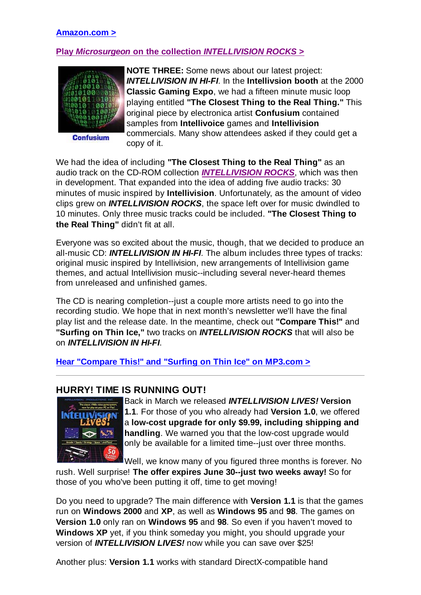#### **Amazon.com >**

#### **Play** *Microsurgeon* **on the collection** *INTELLIVISION ROCKS* **>**



**Confusium** 

**NOTE THREE:** Some news about our latest project: *INTELLIVISION IN HI-FI*. In the **Intellivsion booth** at the 2000 **Classic Gaming Expo**, we had a fifteen minute music loop playing entitled **"The Closest Thing to the Real Thing."** This original piece by electronica artist **Confusium** contained samples from **Intellivoice** games and **Intellivision** commercials. Many show attendees asked if they could get a copy of it.

We had the idea of including **"The Closest Thing to the Real Thing"** as an audio track on the CD-ROM collection *INTELLIVISION ROCKS*, which was then in development. That expanded into the idea of adding five audio tracks: 30 minutes of music inspired by **Intellivision**. Unfortunately, as the amount of video clips grew on *INTELLIVISION ROCKS*, the space left over for music dwindled to 10 minutes. Only three music tracks could be included. **"The Closest Thing to the Real Thing"** didn't fit at all.

Everyone was so excited about the music, though, that we decided to produce an all-music CD: *INTELLIVISION IN HI-FI*. The album includes three types of tracks: original music inspired by Intellivision, new arrangements of Intellivision game themes, and actual Intellivision music--including several never-heard themes from unreleased and unfinished games.

The CD is nearing completion--just a couple more artists need to go into the recording studio. We hope that in next month's newsletter we'll have the final play list and the release date. In the meantime, check out **"Compare This!"** and **"Surfing on Thin Ice,"** two tracks on *INTELLIVISION ROCKS* that will also be on *INTELLIVISION IN HI-FI*.

**Hear "Compare This!" and "Surfing on Thin Ice" on MP3.com >**

#### **HURRY! TIME IS RUNNING OUT!**



Back in March we released *INTELLIVISION LIVES!* **Version 1.1**. For those of you who already had **Version 1.0**, we offered a **low-cost upgrade for only \$9.99, including shipping and handling**. We warned you that the low-cost upgrade would only be available for a limited time--just over three months.

Well, we know many of you figured three months is forever. No

rush. Well surprise! **The offer expires June 30--just two weeks away!** So for those of you who've been putting it off, time to get moving!

Do you need to upgrade? The main difference with **Version 1.1** is that the games run on **Windows 2000** and **XP**, as well as **Windows 95** and **98**. The games on **Version 1.0** only ran on **Windows 95** and **98**. So even if you haven't moved to **Windows XP** yet, if you think someday you might, you should upgrade your version of *INTELLIVISION LIVES!* now while you can save over \$25!

Another plus: **Version 1.1** works with standard DirectX-compatible hand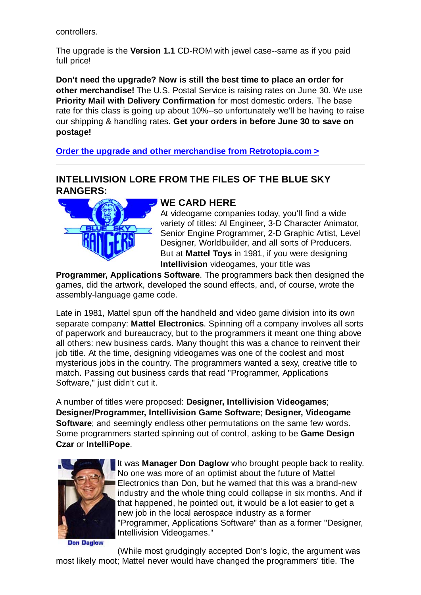controllers.

The upgrade is the **Version 1.1** CD-ROM with jewel case--same as if you paid full price!

**Don't need the upgrade? Now is still the best time to place an order for other merchandise!** The U.S. Postal Service is raising rates on June 30. We use **Priority Mail with Delivery Confirmation** for most domestic orders. The base rate for this class is going up about 10%--so unfortunately we'll be having to raise our shipping & handling rates. **Get your orders in before June 30 to save on postage!**

**Order the upgrade and other merchandise from Retrotopia.com >**

### **INTELLIVISION LORE FROM THE FILES OF THE BLUE SKY RANGERS:**



## **WE CARD HERE**

At videogame companies today, you'll find a wide variety of titles: AI Engineer, 3-D Character Animator, Senior Engine Programmer, 2-D Graphic Artist, Level Designer, Worldbuilder, and all sorts of Producers. But at **Mattel Toys** in 1981, if you were designing **Intellivision** videogames, your title was

**Programmer, Applications Software**. The programmers back then designed the games, did the artwork, developed the sound effects, and, of course, wrote the assembly-language game code.

Late in 1981, Mattel spun off the handheld and video game division into its own separate company: **Mattel Electronics**. Spinning off a company involves all sorts of paperwork and bureaucracy, but to the programmers it meant one thing above all others: new business cards. Many thought this was a chance to reinvent their job title. At the time, designing videogames was one of the coolest and most mysterious jobs in the country. The programmers wanted a sexy, creative title to match. Passing out business cards that read "Programmer, Applications Software," just didn't cut it.

A number of titles were proposed: **Designer, Intellivision Videogames**; **Designer/Programmer, Intellivision Game Software**; **Designer, Videogame Software**; and seemingly endless other permutations on the same few words. Some programmers started spinning out of control, asking to be **Game Design Czar** or **IntelliPope**.



It was **Manager Don Daglow** who brought people back to reality. No one was more of an optimist about the future of Mattel Electronics than Don, but he warned that this was a brand-new industry and the whole thing could collapse in six months. And if that happened, he pointed out, it would be a lot easier to get a new job in the local aerospace industry as a former "Programmer, Applications Software" than as a former "Designer, Intellivision Videogames."

**Don Daglow** 

(While most grudgingly accepted Don's logic, the argument was most likely moot; Mattel never would have changed the programmers' title. The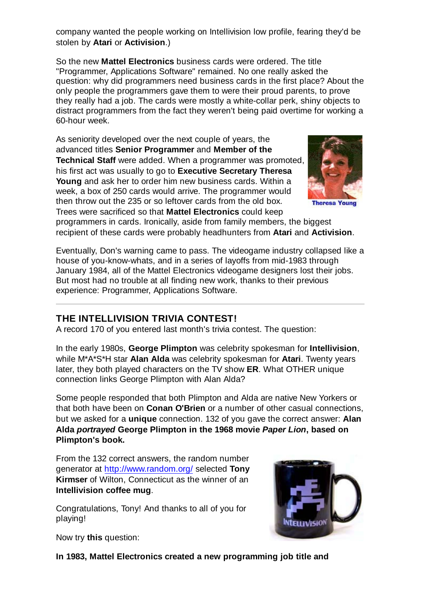company wanted the people working on Intellivision low profile, fearing they'd be stolen by **Atari** or **Activision**.)

So the new **Mattel Electronics** business cards were ordered. The title "Programmer, Applications Software" remained. No one really asked the question: why did programmers need business cards in the first place? About the only people the programmers gave them to were their proud parents, to prove they really had a job. The cards were mostly a white-collar perk, shiny objects to distract programmers from the fact they weren't being paid overtime for working a 60-hour week.

As seniority developed over the next couple of years, the advanced titles **Senior Programmer** and **Member of the Technical Staff** were added. When a programmer was promoted, his first act was usually to go to **Executive Secretary Theresa Young** and ask her to order him new business cards. Within a week, a box of 250 cards would arrive. The programmer would then throw out the 235 or so leftover cards from the old box. Trees were sacrificed so that **Mattel Electronics** could keep



**Theresa Young** 

programmers in cards. Ironically, aside from family members, the biggest recipient of these cards were probably headhunters from **Atari** and **Activision**.

Eventually, Don's warning came to pass. The videogame industry collapsed like a house of you-know-whats, and in a series of layoffs from mid-1983 through January 1984, all of the Mattel Electronics videogame designers lost their jobs. But most had no trouble at all finding new work, thanks to their previous experience: Programmer, Applications Software.

# **THE INTELLIVISION TRIVIA CONTEST!**

A record 170 of you entered last month's trivia contest. The question:

In the early 1980s, **George Plimpton** was celebrity spokesman for **Intellivision**, while M\*A\*S\*H star **Alan Alda** was celebrity spokesman for **Atari**. Twenty years later, they both played characters on the TV show **ER**. What OTHER unique connection links George Plimpton with Alan Alda?

Some people responded that both Plimpton and Alda are native New Yorkers or that both have been on **Conan O'Brien** or a number of other casual connections, but we asked for a **unique** connection. 132 of you gave the correct answer: **Alan Alda** *portrayed* **George Plimpton in the 1968 movie** *Paper Lion***, based on Plimpton's book.**

From the 132 correct answers, the random number generator at http://www.random.org/ selected **Tony Kirmser** of Wilton, Connecticut as the winner of an **Intellivision coffee mug**.

Congratulations, Tony! And thanks to all of you for playing!



Now try **this** question:

**In 1983, Mattel Electronics created a new programming job title and**